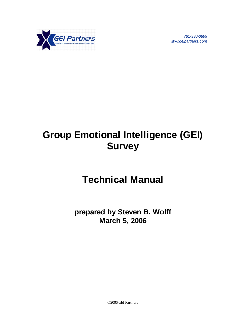

*781-330-0899 www.geipartners.com*

# **Group Emotional Intelligence (GEI) Survey**

# **Technical Manual**

**prepared by Steven B. Wolff March 5, 2006**

©2006 GEI Partners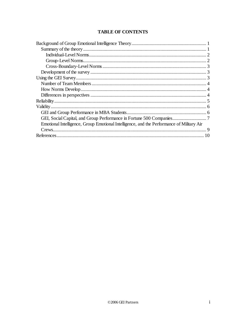## **TABLE OF CONTENTS**

| Emotional Intelligence, Group Emotional Intelligence, and the Performance of Military Air |  |
|-------------------------------------------------------------------------------------------|--|
|                                                                                           |  |
|                                                                                           |  |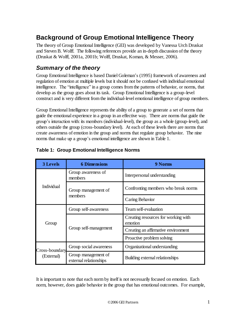# **Background of Group Emotional Intelligence Theory**

The theory of Group Emotional Intelligence (GEI) was developed by Vanessa Urch Druskat and Steven B. Wolff. The following references provide an in-depth discussion of the theory (Druskat & Wolff, 2001a, 2001b; Wolff, Druskat, Koman, & Messer, 2006).

# *Summary of the theory*

Group Emotional Intelligence is based Daniel Goleman's (1995) framework of awareness and regulation of emotion at multiple levels but it should not be confused with individual emotional intelligence. The "intelligence" in a group comes from the patterns of behavior, or norms, that develop as the group goes about its task. Group Emotional Intelligence is a group-level construct and is very different from the individual-level emotional intelligence of group members.

Group Emotional Intelligence represents the ability of a group to generate a set of norms that guide the emotional experience in a group in an effective way. There are norms that guide the group's interaction with: its members (individual-level), the group as a whole (group-level), and others outside the group (cross-boundary level). At each of these levels there are norms that create awareness of emotion in the group and norms that regulate group behavior. The nine norms that make up a group's emotional intelligence are shown i[n Table 1.](#page-2-0)

| <b>3 Levels</b>              | <b>6 Dimensions</b>                           | 9 Norms                                        |
|------------------------------|-----------------------------------------------|------------------------------------------------|
| Individual                   | Group awareness of<br>members                 | Interpersonal understanding                    |
|                              | Group management of<br>members                | Confronting members who break norms            |
|                              |                                               | Caring Behavior                                |
|                              | Group self-awareness                          | Team self-evaluation                           |
| Group                        | Group self-management                         | Creating resources for working with<br>emotion |
|                              |                                               | Creating an affirmative environment            |
|                              |                                               | Proactive problem solving                      |
| Cross-boundary<br>(External) | Group social awareness                        | Organizational understanding                   |
|                              | Group management of<br>external relationships | Building external relationships                |

## <span id="page-2-0"></span>**Table 1: Group Emotional Intelligence Norms**

It is important to note that each norm by itself is not necessarily focused on emotion. Each norm, however, does guide behavior in the group that has emotional outcomes. For example,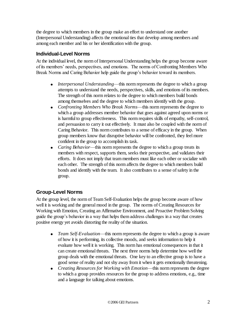the degree to which members in the group make an effort to understand one another (Interpersonal Understanding) affects the emotional ties that develop among members and among each member and his or her identification with the group.

#### **Individual-Level Norms**

At the individual level, the norm of Interpersonal Understanding helps the group become aware of its members' needs, perspectives, and emotions. The norms of Confronting Members Who Break Norms and Caring Behavior help guide the group's behavior toward its members.

- *Interpersonal Understanding*—this norm represents the degree to which a group attempts to understand the needs, perspectives, skills, and emotions of its members. The strength of this norm relates to the degree to which members build bonds among themselves and the degree to which members identify with the group.
- *Confronting Members Who Break Norms*—this norm represents the degree to which a group addresses member behavior that goes against agreed upon norms or is harmful to group effectiveness. This norm requires skills of empathy, self-control, and persuasion to carry it out effectively. It must also be coupled with the norm of Caring Behavior. This norm contributes to a sense of efficacy in the group. When group members know that disruptive behavior will be confronted, they feel more confident in the group to accomplish its task.
- *Caring Behavior*—this norm represents the degree to which a group treats its members with respect, supports them, seeks their perspective, and validates their efforts. It does not imply that team members must like each other or socialize with each other. The strength of this norm affects the degree to which members build bonds and identify with the team. It also contributes to a sense of safety in the group.

#### **Group-Level Norms**

At the group level, the norm of Team Self-Evaluation helps the group become aware of how well it is working and the general mood in the group. The norms of Creating Resources for Working with Emotion, Creating an Affirmative Environment, and Proactive Problem Solving guide the group's behavior in a way that helps them address challenges in a way that creates positive energy yet avoids distorting the reality of the situation.

- *Team Self-Evaluation*—this norm represents the degree to which a group is aware of how it is performing, its collective moods, and seeks information to help it evaluate how well it is working. This norm has emotional consequences in that it can create emotional threats. The next three norms help determine how well the group deals with the emotional threats. One key to an effective group is to have a good sense of reality and not shy away from it when it gets emotionally threatening.
- *Creating Resources for Working with Emotion*—this norm represents the degree  $\bullet$ to which a group provides resources for the group to address emotions, e.g., time and a language for talking about emotions.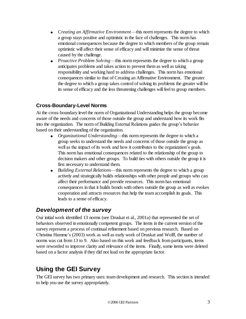- *Creating an Affirmative Environment*—this norm represents the degree to which a group stays positive and optimistic in the face of challenges. This norm has emotional consequences because the degree to which members of the group remain optimistic will affect their sense of efficacy and will minimize the sense of threat caused by the challenge.
- *Proactive Problem Solving*—this norm represents the degree to which a group anticipates problems and takes action to prevent them as well as taking responsibility and working hard to address challenges. This norm has emotional consequences similar to that of Creating an Affirmative Environment. The greater the degree to which a group takes control of solving its problems the greater will be its sense of efficacy and the less threatening challenges will feel to group members.

## **Cross-Boundary-Level Norms**

At the cross-boundary level the norm of Organizational Understanding helps the group become aware of the needs and concerns of those outside the group and understand how its work fits into the organization. The norm of Building External Relations guides the group's behavior based on their understanding of the organization.

- *Organizational Understanding*—this norm represents the degree to which a group seeks to understand the needs and concerns of those outside the group as well as the impact of its work and how it contributes to the organization's goals. This norm has emotional consequences related to the relationship of the group to decision makers and other groups. To build ties with others outside the group it is first necessary to understand them.
- $\bullet$ *Building External Relations*—this norm represents the degree to which a group actively and strategically builds relationships with other people and groups who can affect their performance and provide resources. This norm has emotional consequences in that it builds bonds with others outside the group as well as evokes cooperation and attracts resources that help the team accomplish its goals. This leads to a sense of efficacy.

# *Development of the survey*

Our initial work identified 13 norms (see Druskat et al., 2001a) that represented the set of behaviors observed in emotionally competent groups. The items in the current version of the survey represent a process of continual refinement based on previous research. Based on Christina Hamme's (2003) work as well as early work of Druskat and Wolff, the number of norms was cut from 13 to 9. Also based on this work and feedback from participants, items were reworded to improve clarity and relevance of the items. Finally, some items were deleted based on a factor analysis if they did not load on the appropriate factor.

# **Using the GEI Survey**

The GEI survey has two primary uses: team development and research. This section is intended to help you use the survey appropriately.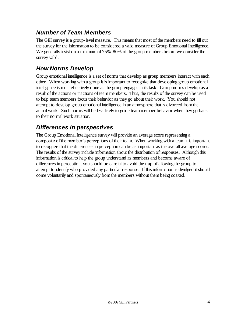# *Number of Team Members*

The GEI survey is a group-level measure. This means that most of the members need to fill out the survey for the information to be considered a valid measure of Group Emotional Intelligence. We generally insist on a minimum of 75%-80% of the group members before we consider the survey valid.

# *How Norms Develop*

Group emotional intelligence is a set of norms that develop as group members interact with each other. When working with a group it is important to recognize that developing group emotional intelligence is most effectively done as the group engages in its task. Group norms develop as a result of the actions or inactions of team members. Thus, the results of the survey can be used to help team members focus their behavior as they go about their work. You should not attempt to develop group emotional intelligence in an atmosphere that is divorced from the actual work. Such norms will be less likely to guide team member behavior when they go back to their normal work situation.

## *Differences in perspectives*

The Group Emotional Intelligence survey will provide an average score representing a composite of the member's perceptions of their team. When working with a team it is important to recognize that the differences in perception can be as important as the overall average scores. The results of the survey include information about the distribution of responses. Although this information is critical to help the group understand its members and become aware of differences in perception, you should be careful to avoid the trap of allowing the group to attempt to identify who provided any particular response. If this information is divulged it should come voluntarily and spontaneously from the members without them being coaxed.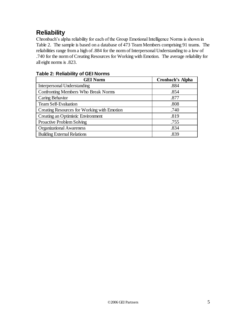# **Reliability**

Chronbach's alpha reliability for each of the Group Emotional Intelligence Norms is shown in [Table 2.](#page-6-0) The sample is based on a database of 473 Team Members comprising 91 teams. The reliabilities range from a high of .884 for the norm of Interpersonal Understanding to a low of .740 for the norm of Creating Resources for Working with Emotion. The average reliability for all eight norms is .823.

| <b>GEI Norm</b>                             | <b>Cronbach's Alpha</b> |
|---------------------------------------------|-------------------------|
| <b>Interpersonal Understanding</b>          | .884                    |
| <b>Confronting Members Who Break Norms</b>  | .854                    |
| Caring Behavior                             | .877                    |
| <b>Team Self-Evaluation</b>                 | .808                    |
| Creating Resources for Working with Emotion | .740                    |
| Creating an Optimistic Environment          | .819                    |
| <b>Proactive Problem Solving</b>            | .755                    |
| <b>Organizational Awareness</b>             | .834                    |
| <b>Building External Relations</b>          | .839                    |

#### <span id="page-6-0"></span>**Table 2: Reliability of GEI Norms**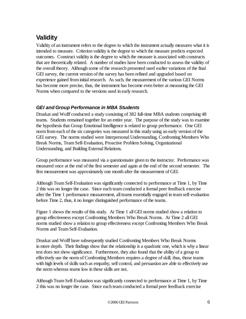# **Validity**

Validity of an instrument refers to the degree to which the instrument actually measures what it is intended to measure. Criterion validity is the degree to which the measure predicts expected outcomes. Construct validity is the degree to which the measure is associated with constructs that are theoretically related. A number of studies have been conducted to assess the validity of the overall theory. Although some of the research presented used earlier variations of the final GEI survey, the current version of the survey has been refined and upgraded based on experience gained from initial research. As such, the measurement of the various GEI Norms has become more precise, thus, the instrument has become even better at measuring the GEI Norms when compared to the versions used in early research.

#### *GEI and Group Performance in MBA Students*

Druskat and Wolff conducted a study consisting of 382 full-time MBA students comprising 48 teams. Students remained together for an entire year. The purpose of the study was to examine the hypothesis that Group Emotional Intelligence is related to group performance. One GEI norm from each of the six categories was measured in this study using an early version of the GEI survey. The norms studied were Interpersonal Understanding, Confronting Members Who Break Norms, Team Self-Evaluation, Proactive Problem Solving, Organizational Understanding, and Building External Relations.

Group performance was measured via a questionnaire given to the instructor. Performance was measured once at the end of the first semester and again at the end of the second semester. The first measurement was approximately one month after the measurement of GEI.

Although Team Self-Evaluation was significantly connected to performance at Time 1, by Time 2 this was no longer the case. Since each team conducted a formal peer feedback exercise after the Time 1 performance measurement, all teams essentially engaged in team self-evaluation before Time 2, thus, it no longer distinguished performance of the teams.

[Figure 1](#page-8-0) shows the results of this study. At Time 1 all GEI norms studied show a relation to group effectiveness except Confronting Members Who Break Norms. At Time 2 all GEI norms studied show a relation to group effectiveness except Confronting Members Who Break Norms and Team Self-Evaluation.

Druskat and Wolff have subsequently studied Confronting Members Who Break Norms in more depth. Their findings show that the relationship is a quadratic one, which is why a linear test does not show significance. Furthermore, they also found that the ability of a group to effectively use the norm of Confronting Members requires a degree of skill, thus, those teams with high levels of skills such as empathy, self control, and persuasion are able to effectively use the norm whereas teams low in these skills are not.

Although Team Self-Evaluation was significantly connected to performance at Time 1, by Time 2 this was no longer the case. Since each team conducted a formal peer feedback exercise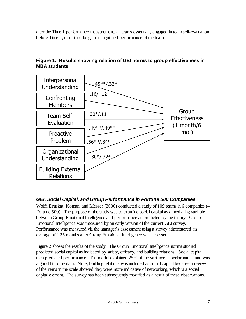after the Time 1 performance measurement, all teams essentially engaged in team self-evaluation before Time 2, thus, it no longer distinguished performance of the teams.



## <span id="page-8-0"></span>**Figure 1: Results showing relation of GEI norms to group effectiveness in MBA students**

## *GEI, Social Capital, and Group Performance in Fortune 500 Companies*

Wolff, Druskat, Koman, and Messer (2006) conducted a study of 109 teams in 6 companies (4 Fortune 500). The purpose of the study was to examine social capital as a mediating variable between Group Emotional Intelligence and performance as predicted by the theory. Group Emotional Intelligence was measured by an early version of the current GEI survey. Performance was measured via the manager's assessment using a survey administered an average of 2.25 months after Group Emotional Intelligence was assessed.

[Figure 2](#page-9-0) shows the results of the study. The Group Emotional Intelligence norms studied predicted social capital as indicated by safety, efficacy, and building relations. Social capital then predicted performance. The model explained 25% of the variance in performance and was a good fit to the data. Note, building relations was included as social capital because a review of the items in the scale showed they were more indicative of networking, which is a social capital element. The survey has been subsequently modified as a result of these observations.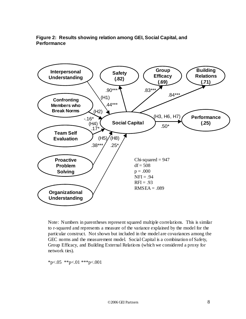#### <span id="page-9-0"></span>Figure 2: Results showing relation among GEI, Social Capital, and **Performance**



Note: Numbers in parentheses represent squared multiple correlations. This is similar to r-squared and represents a measure of the variance explained by the model for the particular construct. Not shown but included in the model are covariances among the GEC norms and the measurement model. Social Capital is a combination of Safety, Group Efficacy, and Building External Relations (which we considered a proxy for network ties).

\*p<.05 \*\*p<.01 \*\*\*p<.001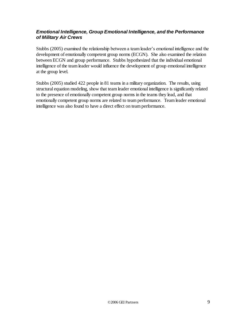#### *Emotional Intelligence, Group Emotional Intelligence, and the Performance of Military Air Crews*

Stubbs (2005) examined the relationship between a team leader's emotional intelligence and the development of emotionally competent group norms (ECGN). She also examined the relation between ECGN and group performance. Stubbs hypothesized that the individual emotional intelligence of the team leader would influence the development of group emotional intelligence at the group level.

Stubbs (2005) studied 422 people in 81 teams in a military organization. The results, using structural equation modeling, show that team leader emotional intelligence is significantly related to the presence of emotionally competent group norms in the teams they lead, and that emotionally competent group norms are related to team performance. Team leader emotional intelligence was also found to have a direct effect on team performance.